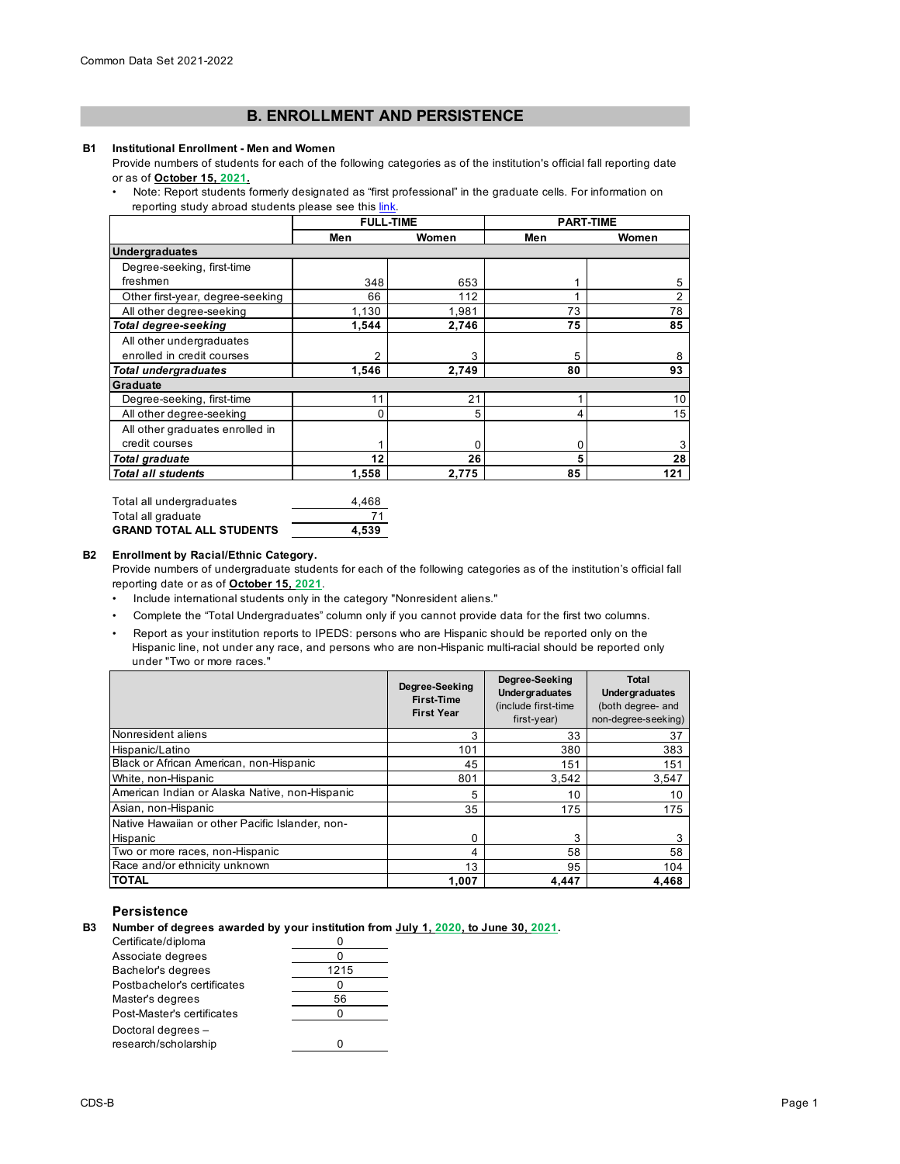# **B. ENROLLMENT AND PERSISTENCE**

#### **B1 Institutional Enrollment - Men and Women**

Provide numbers of students for each of the following categories as of the institution's official fall reporting date or as of **October 15, 2021.**

• Note: Report students formerly designated as "first professional" in the graduate cells. For information on reporting study abroad students please see this link.

|                                  | <b>FULL-TIME</b> |       | <b>PART-TIME</b> |                |
|----------------------------------|------------------|-------|------------------|----------------|
|                                  | Men              | Women | Men              | Women          |
| <b>Undergraduates</b>            |                  |       |                  |                |
| Degree-seeking, first-time       |                  |       |                  |                |
| freshmen                         | 348              | 653   |                  | 5              |
| Other first-year, degree-seeking | 66               | 112   | 4                | $\overline{2}$ |
| All other degree-seeking         | 1,130            | 1,981 | 73               | 78             |
| Total degree-seeking             | 1,544            | 2,746 | 75               | 85             |
| All other undergraduates         |                  |       |                  |                |
| enrolled in credit courses       | $\overline{2}$   | 3     | 5                | 8              |
| <b>Total undergraduates</b>      | 1.546            | 2.749 | 80               | 93             |
| <b>Graduate</b>                  |                  |       |                  |                |
| Degree-seeking, first-time       | 11               | 21    |                  | 10             |
| All other degree-seeking         |                  | 5     | 4                | 15             |
| All other graduates enrolled in  |                  |       |                  |                |
| credit courses                   |                  | 0     | 0                | 3              |
| <b>Total graduate</b>            | 12               | 26    | 5                | 28             |
| <b>Total all students</b>        | 1,558            | 2,775 | 85               | 121            |

| Total all undergraduates | 4.468 |
|--------------------------|-------|
| Total all graduate       |       |
| GRAND TOTAL ALL STUDENTS | 4.539 |

#### **B2 Enrollment by Racial/Ethnic Category.**

Provide numbers of undergraduate students for each of the following categories as of the institution's official fall reporting date or as of **October 15, 2021**.

- Include international students only in the category "Nonresident aliens."
- Complete the "Total Undergraduates" column only if you cannot provide data for the first two columns.
- Report as your institution reports to IPEDS: persons who are Hispanic should be reported only on the Hispanic line, not under any race, and persons who are non-Hispanic multi-racial should be reported only under "Two or more races."

|                                                 | Degree-Seeking<br>First-Time<br><b>First Year</b> | Degree-Seeking<br><b>Undergraduates</b><br>(include first-time<br>$first-year)$ | Total<br><b>Undergraduates</b><br>(both degree- and<br>non-degree-seeking) |
|-------------------------------------------------|---------------------------------------------------|---------------------------------------------------------------------------------|----------------------------------------------------------------------------|
| Nonresident aliens                              | 3                                                 | 33                                                                              | 37                                                                         |
| Hispanic/Latino                                 | 101                                               | 380                                                                             | 383                                                                        |
| Black or African American, non-Hispanic         | 45                                                | 151                                                                             | 151                                                                        |
| White, non-Hispanic                             | 801                                               | 3.542                                                                           | 3.547                                                                      |
| American Indian or Alaska Native, non-Hispanic  | 5                                                 | 10                                                                              | 10                                                                         |
| Asian, non-Hispanic                             | 35                                                | 175                                                                             | 175                                                                        |
| Native Hawaiian or other Pacific Islander, non- |                                                   |                                                                                 |                                                                            |
| Hispanic                                        | 0                                                 | 3                                                                               |                                                                            |
| Two or more races, non-Hispanic                 | 4                                                 | 58                                                                              | 58                                                                         |
| Race and/or ethnicity unknown                   | 13                                                | 95                                                                              | 104                                                                        |
| <b>TOTAL</b>                                    | 1.007                                             | 4,447                                                                           | 4.468                                                                      |

### **Persistence**

**B3 Number of degrees awarded by your institution from July 1, 2020, to June 30, 2021.**

| Certificate/diploma         |      |
|-----------------------------|------|
| Associate degrees           |      |
| Bachelor's degrees          | 1215 |
| Postbachelor's certificates |      |
| Master's degrees            | 56   |
| Post-Master's certificates  | O    |
| Doctoral degrees -          |      |
| research/scholarship        |      |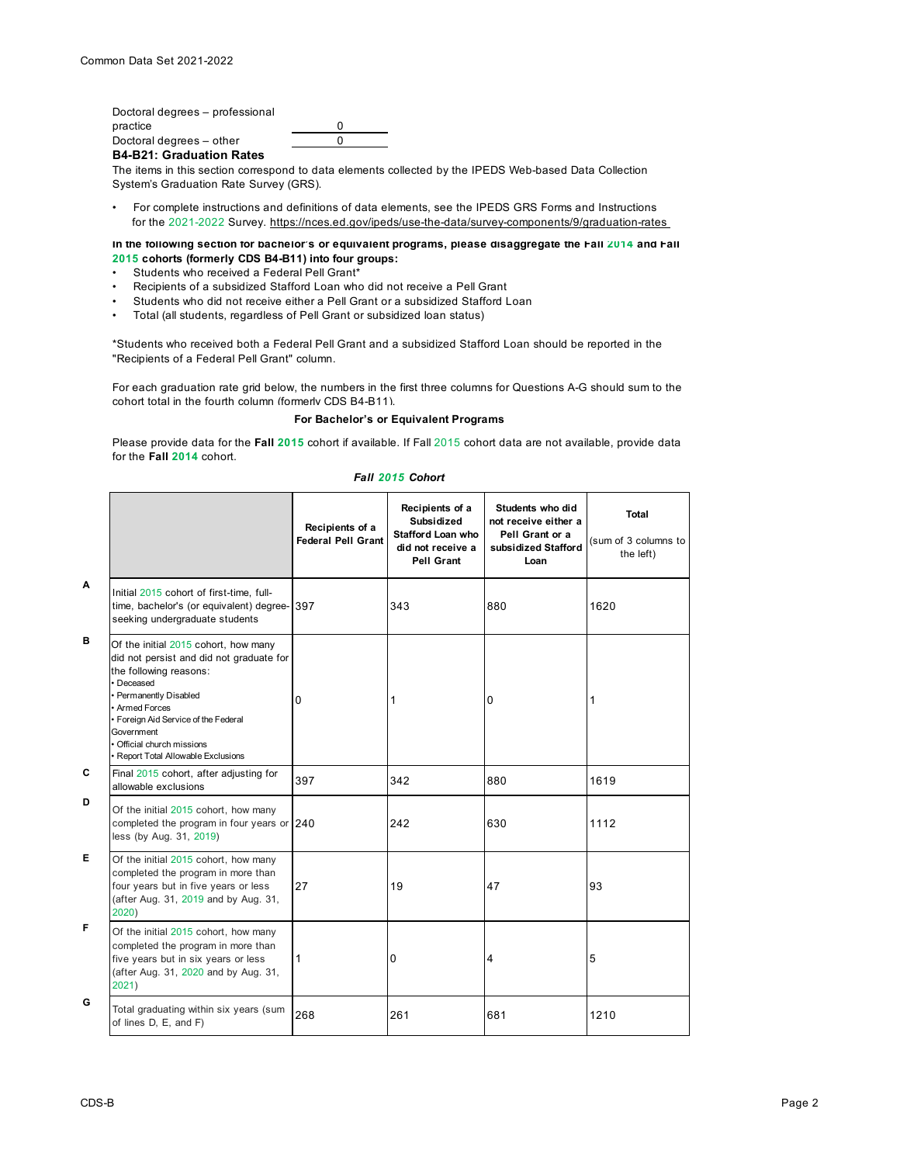Doctoral degrees – professional practice 0 Doctoral degrees – other  $\overline{0}$ 

**B4-B21: Graduation Rates**

The items in this section correspond to data elements collected by the IPEDS Web-based Data Collection System's Graduation Rate Survey (GRS).

• For complete instructions and definitions of data elements, see the IPEDS GRS Forms and Instructions for the 2021-2022 Survey. https://nces.ed.gov/ipeds/use-the-data/survey-components/9/graduation-rates

#### **In the following section for bachelor's or equivalent programs, please disaggregate the Fall 2014 and Fall 2015 cohorts (formerly CDS B4-B11) into four groups:**

- Students who received a Federal Pell Grant\*
- Recipients of a subsidized Stafford Loan who did not receive a Pell Grant
- Students who did not receive either a Pell Grant or a subsidized Stafford Loan
- Total (all students, regardless of Pell Grant or subsidized loan status)

\*Students who received both a Federal Pell Grant and a subsidized Stafford Loan should be reported in the "Recipients of a Federal Pell Grant" column.

For each graduation rate grid below, the numbers in the first three columns for Questions A-G should sum to the cohort total in the fourth column (formerly CDS B4-B11).

## **For Bachelor's or Equivalent Programs**

Please provide data for the **Fall 2015** cohort if available. If Fall 2015 cohort data are not available, provide data for the **Fall 2014** cohort.

|   |                                                                                                                                                                                                                                                                                               | Recipients of a<br><b>Federal Pell Grant</b> | Recipients of a<br>Subsidized<br><b>Stafford Loan who</b><br>did not receive a<br>Pell Grant | Students who did<br>not receive either a<br>Pell Grant or a<br>subsidized Stafford<br>Loan | Total<br>(sum of 3 columns to<br>the left) |
|---|-----------------------------------------------------------------------------------------------------------------------------------------------------------------------------------------------------------------------------------------------------------------------------------------------|----------------------------------------------|----------------------------------------------------------------------------------------------|--------------------------------------------------------------------------------------------|--------------------------------------------|
| A | Initial 2015 cohort of first-time, full-<br>time, bachelor's (or equivalent) degree- 397<br>seeking undergraduate students                                                                                                                                                                    |                                              | 343                                                                                          | 880                                                                                        | 1620                                       |
| в | Of the initial 2015 cohort, how many<br>did not persist and did not graduate for<br>the following reasons:<br>· Deceased<br>• Permanently Disabled<br>Armed Forces<br>• Foreign Aid Service of the Federal<br>Government<br>• Official church missions<br>• Report Total Allowable Exclusions | 0                                            | 1                                                                                            | 0                                                                                          | 1                                          |
| C | Final 2015 cohort, after adjusting for<br>allowable exclusions                                                                                                                                                                                                                                | 397                                          | 342                                                                                          | 880                                                                                        | 1619                                       |
| D | Of the initial 2015 cohort, how many<br>completed the program in four years or 240<br>less (by Aug. 31, 2019)                                                                                                                                                                                 |                                              | 242                                                                                          | 630                                                                                        | 1112                                       |
| Е | Of the initial 2015 cohort, how many<br>completed the program in more than<br>four years but in five years or less<br>(after Aug. 31, 2019 and by Aug. 31,<br>2020)                                                                                                                           | 27                                           | 19                                                                                           | 47                                                                                         | 93                                         |
| F | Of the initial 2015 cohort, how many<br>completed the program in more than<br>five years but in six years or less<br>(after Aug. 31, 2020 and by Aug. 31,<br>2021)                                                                                                                            | 1                                            | 0                                                                                            | 4                                                                                          | 5                                          |
| G | Total graduating within six years (sum<br>of lines D, E, and F)                                                                                                                                                                                                                               | 268                                          | 261                                                                                          | 681                                                                                        | 1210                                       |

#### *Fall 2015 Cohort*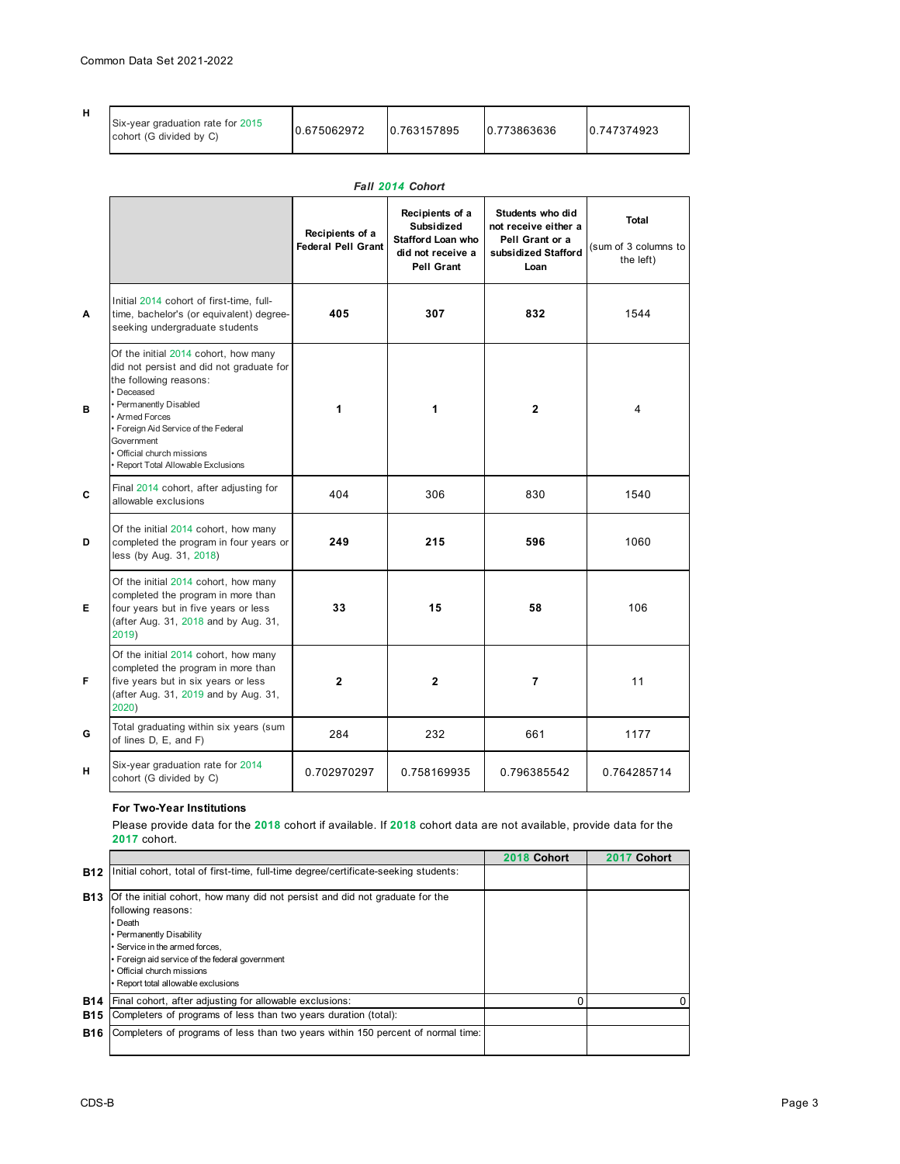| н | Six-year graduation rate for 2015<br>cohort (G divided by C) | 0.675062972 | 0.763157895 | 0.773863636 | 0.747374923 |
|---|--------------------------------------------------------------|-------------|-------------|-------------|-------------|
|---|--------------------------------------------------------------|-------------|-------------|-------------|-------------|

|   | Fall 2014 Cohort                                                                                                                                                                                                                                                                        |                                              |                                                                                              |                                                                                            |                                                   |
|---|-----------------------------------------------------------------------------------------------------------------------------------------------------------------------------------------------------------------------------------------------------------------------------------------|----------------------------------------------|----------------------------------------------------------------------------------------------|--------------------------------------------------------------------------------------------|---------------------------------------------------|
|   |                                                                                                                                                                                                                                                                                         | Recipients of a<br><b>Federal Pell Grant</b> | Recipients of a<br>Subsidized<br><b>Stafford Loan who</b><br>did not receive a<br>Pell Grant | Students who did<br>not receive either a<br>Pell Grant or a<br>subsidized Stafford<br>Loan | <b>Total</b><br>(sum of 3 columns to<br>the left) |
| A | Initial 2014 cohort of first-time, full-<br>time, bachelor's (or equivalent) degree-<br>seeking undergraduate students                                                                                                                                                                  | 405                                          | 307                                                                                          | 832                                                                                        | 1544                                              |
| в | Of the initial 2014 cohort, how many<br>did not persist and did not graduate for<br>the following reasons:<br>Deceased<br>• Permanently Disabled<br>• Armed Forces<br>Foreign Aid Service of the Federal<br>Government<br>Official church missions<br>Report Total Allowable Exclusions | 1                                            | 1                                                                                            | $\overline{2}$                                                                             | 4                                                 |
| C | Final 2014 cohort, after adjusting for<br>allowable exclusions                                                                                                                                                                                                                          | 404                                          | 306                                                                                          | 830                                                                                        | 1540                                              |
| D | Of the initial 2014 cohort, how many<br>completed the program in four years or<br>less (by Aug. 31, 2018)                                                                                                                                                                               | 249                                          | 215                                                                                          | 596                                                                                        | 1060                                              |
| Е | Of the initial 2014 cohort, how many<br>completed the program in more than<br>four years but in five years or less<br>(after Aug. 31, 2018 and by Aug. 31,<br>2019)                                                                                                                     | 33                                           | 15                                                                                           | 58                                                                                         | 106                                               |
| F | Of the initial 2014 cohort, how many<br>completed the program in more than<br>five years but in six years or less<br>(after Aug. 31, 2019 and by Aug. 31,<br>2020)                                                                                                                      | $\overline{2}$                               | $\mathbf{2}$                                                                                 | $\overline{7}$                                                                             | 11                                                |
| G | Total graduating within six years (sum<br>of lines D, E, and F)                                                                                                                                                                                                                         | 284                                          | 232                                                                                          | 661                                                                                        | 1177                                              |
| н | Six-year graduation rate for 2014<br>cohort (G divided by C)                                                                                                                                                                                                                            | 0.702970297                                  | 0.758169935                                                                                  | 0.796385542                                                                                | 0.764285714                                       |

## **For Two-Year Institutions**

Please provide data for the **2018** cohort if available. If **2018** cohort data are not available, provide data for the **2017** cohort.

|                          |                                                                                                                                                                                                                                                                                                     | 2018 Cohort | Cohort<br>2017 |
|--------------------------|-----------------------------------------------------------------------------------------------------------------------------------------------------------------------------------------------------------------------------------------------------------------------------------------------------|-------------|----------------|
| <b>B12</b>               | Initial cohort, total of first-time, full-time degree/certificate-seeking students:                                                                                                                                                                                                                 |             |                |
| <b>B13</b>               | Of the initial cohort, how many did not persist and did not graduate for the<br>following reasons:<br>• Death<br>• Permanently Disability<br>• Service in the armed forces.<br>• Foreign aid service of the federal government<br>• Official church missions<br>• Report total allowable exclusions |             |                |
| <b>B14</b><br><b>B15</b> | Final cohort, after adjusting for allowable exclusions:<br>Completers of programs of less than two years duration (total):                                                                                                                                                                          |             | O              |
| <b>B16</b>               | Completers of programs of less than two years within 150 percent of normal time:                                                                                                                                                                                                                    |             |                |